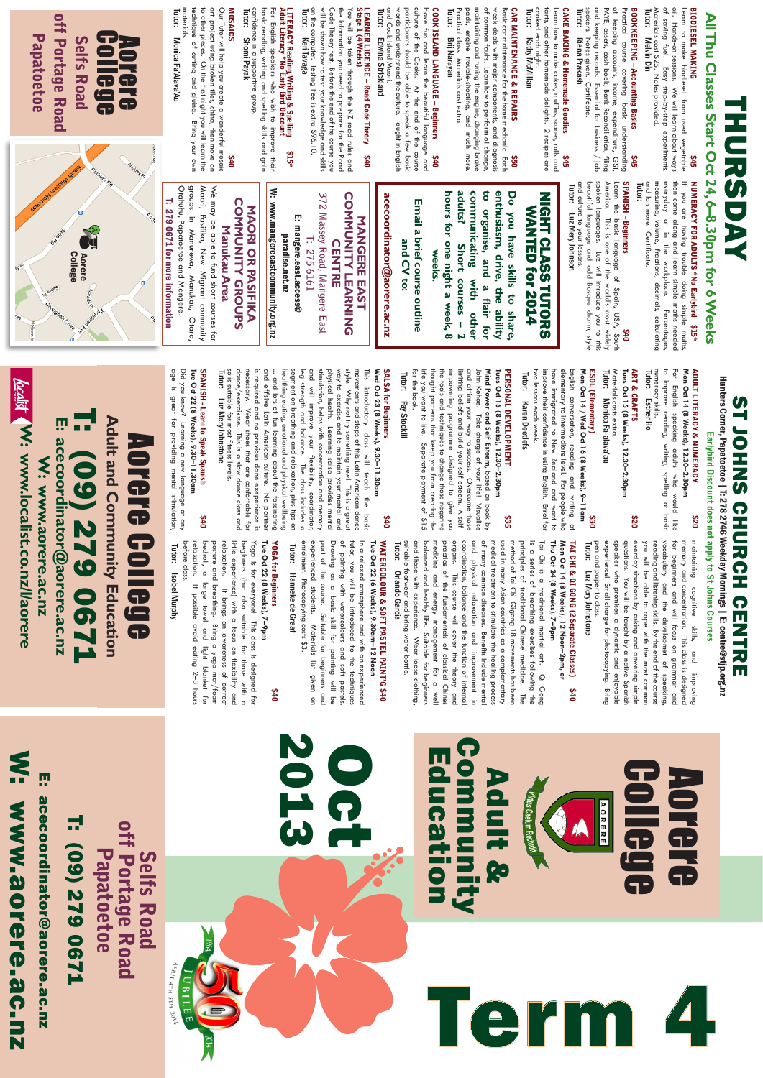College

Aorere

Tutor: pen and paper to class. experience! Small charge for photocopying. Bring speaker who promises a dynamic and enjoyable questions. You will be taught by a native Spanish everday situations by asking and anwering simple you will be able to cope with the most common reading and listening skills. By the end of the course vocabulary and the developmet of speaking, for beginners and will focus on grammar and memory and concentration. This class is designed maintaining cognitive skills, and improving Luz Mery Johnstone

\$40

suitable footwear and bring water bottle.<br>Tutor: 0rlando Garcia and those with experience. Wear loose clothing suitable footwear and bring water bottle. and those with experience. Wear loose clothing, balanced and healthy life. Suitable for beginners medicine and energy management for a well practice of the fundamentals of classical Chines organs. This course will cover the theory and coordination, balance and the function of internal and physical relaxation and improvement in of many common diseases. Benefits include mental medical treatment to stimulate the healing process used in many Asian countries as a complementary method of Tai Chi Qigong 18 movements has been principles of traditional Chinese medicine. The is a series of breathing exercises following the Tai Chi is a traditional martial art. Qi Gong **Orlando Garcia** Orlando Garcia

## **Tue Oct 22 (6 Weeks), 9.30am–12 Noon** WATERCOLOUR & SOFT PASTEL PAINT'G \$40 WATERCOLOUR & SOFT PASTEL PAINT'G **Tue Oct 22 (6 Weeks), 9.30am-12 Noon**

enrolment. Photocopying costs \$3. Drawing as a basic skill for painting will be of painting with watercolours and soft pastels In a relaxed atmosphere and with an experienced Tutor: enrolment. Photocopying costs \$3. experienced students. experienced students. Materials list given on part of the course. Suitable for beginners and part of the course. Suitable for beginners and Drawing as a basic skill for painting will be of painting with watercolours and soft pastels. tus, you will be introduced to the techniques tutor, you will be introduced to the techniques In a relaxed atmosphere and with an experienced Hanneke de Graaf Hanneke de Graaf Materials list given  $\tilde{a}$ 

## TAI CHI & QI GONG (2 Separate Classes) **Mon Oct 14 (8 Weeks), 12 Noon–2pm, or**

**Tue Oct 22 (8 Weeks), 7–9pm** Tue Oct 22 (8 Weeks), 7-9pm

## relaxation. relaxation. It brings an awareness of correct It brings an awareness of correct<br> $\frac{1}{2}$  brings an awareness of correct

little experience) with a focus on flexibility and beginners (but also suitable for those with a little experience) with a focus on flexibility and beginners (but also suitable for those with a Yoga is for everyonel This class is designed for Yoga is for everyone! This class is designed for YOGA for Beginners \$40 0t\$

## **localist W: www.localist.co.nz/l/aorere** T: (09) 279 0671 E: acecoordinator@aorere.ac.nz **E: acecoordinator@aorere.ac.nz W: www.localist.co.nz/l/aorere LZ90 6ZZ (60) W: www.aorere.ac.nz** W: www.aorere.ac.nz

**Tutor:** Isobel Murphy Isobel Murphy

numeracy skills.<br>Tutor: Esther numeracy skills. to improve reading, writing, spelling or basic For English speaking adults who would like **Mon Oct 14 (8 Weeks), 12.30–2.30pm**

ART & CRAFTS \$20 Materials costs extra.<br>Tutor: Monica Fa-alava'au Materials costs extra. **Tues Oct 15 (8 Weeks), 12.30–2.30pm**

**Thu Oct 24 (8 Weeks), 7–9pm**

## **SALSA for Beginners** SALSA for Beginners

before class.

before class.

relaxation. If possible avoid eating 2–3 hours bedroll, a large towel and light blanket for posture and breathing. Bring a yoga mat/foam

 $2-3$  hours

relaxation. If possible avoid eating

bedroll, a large towel and light blanket for

posture and breathing. Bring a yoga mat/foam

## SPANISH - Learn to Speak Spanish SPANISH - Learn to Speak Spanish

**SPANISH - Learn to Speak Spanish<br>Tue Oct 22 (8 Weeks), 9.30–11.30am<br>Did you know<sup>2</sup> Learning a new language at any<br>age is great for providing mental stimulation,** age is great for providing mental stimulation, Did you know? Learning a new language at any **Tue Oct 22 (8 Weeks), 9.30–11.30am**

# THURSDAY HURSDAY

## W: www.aorere.ac.nz acecoordinator@aorere.ac.nz **WW.aorere.ac.nz**

## Hunters Corner, Papatoetoe | T: 278 2746 Weekday Mornings | E: centre@stjp.org.nz ST JOHNS CHURCH CENTRE **PHART** Earlybird Discount does not apply to St Johns Courses **CHURCH CENTRE**

# ADULT LITERACY & NUMERACY \$20

Materials cost \$25. Notes provided.<br>Tutor: Melvin Din Materials cost \$25. Notes provided. of saving fuel. Easy step-by-step experiments. oil. Hands-on sessions. We will learn about ways Learn to make biodiesel from used vegetable Melvin Din

## Esther Ho

Monica Fa-alava'au

# ESOL (Elementary) \$30

cooked each night.<br>Tutor: Kathy Mc cooked each night. Kathy McMillan

two lessons each week. improve their confidence in using English. Enrol for have immigrated to New Zealand and want to elementary to intermediate level. For people who English conversation, reading and writing at **Mon Oct 14 / Wed Oct 16 (8 Weeks), 9–11am** Tutor: Karen Deetlefs Karen Deetlefs

Tutor: Edwina Strickland

# PERSONAL DEVELOPMENT \$35

for the book. thought patterns that keep you from creating the the tools and techniques to change those negative **Tues Oct 15 (8 Weeks), 12.30–2.30pm** for the book. life you want to live. Separate payment of \$15 empowering programme designed to give you limiting beliefs and build your self esteem. A selfand affirm your way to success. Overcome those John Kehoe. Take charge of your life! Visualise **Mind Power and Self Esteem** , based on book by

and Cook Island Maori. words and understand the culture. Taught in English words and understand the culture. Taught in English culture of the Cooks. At the end of the course and Cook Island Maori. participants should be able to speak a few basic Have fun and learn the beautiful language and Edwina Strickland

## LEARNER LICENCE - Road Code Theory<br>Stage 1 (4 Weeks) Stage 1 (4 Weeks) LEARNER LICENCE – Road Code Theory \$40

the information you need to prepare for the Road<br>Code Theory test. Before the end of the course you on the computer. Testing Fee is extra \$96.10. will be shown how to test your knowledge and skills will be shown how to test your knowledge and skills Code Theory test. Before the end of the course you the information you need to prepare for the Road You will be taken through the NZ road rules and Tutor: You will be taken through the NZ road roles and Keri Tavaga

## LTTERACY Reading, Writing & Spelling<br>Adult Literacy \* No Early Bird Discount Adult Literacy \*No Early Bird Discount LITERACY Reading, Writing & Spelling \$15\*  $$15*$

basic reading, writing and spelling skills and gain confidence in a supportive group.<br>Tutor: Shomi Payak confidence in a supportive group. For English speakers who wish to improve their basic reading, writing and spelling skills and gain For English speakers who wish to improve their Shomi Payak Shomi Payak

### **MOSAICS** MOSAICS

art project using broken tiles, china, then move on<br>to other pieces. On the first night you will learn the to other pieces. On the first night :<br>technique of cutting and gluing. Our Tutor will help you create a wonderful mosaic materials. technique of cutting and gluing. Bring your own to other pieces. On the first night you will learn the Our Tutor will help you create a wonderful mosaic materials. art project using broken tiles, china, then move on Bring your own \$40

Maori,

We may be able to fund short courses for

Manukau Area

Pasifika, New Migrant community

Otara

Tutor: Fay Stockill

\$40

dance/exercixsse. necessary. Wear shoes that are confortable for is required and no previous dane exeperience is healthing eating, emotional and physical wellbeing physical health. Learning salsa provides mental<br>stimulation, helps with concentration and memory movements and steps of this Latin American dance Tutor: so is suitable for most fitness levels. so is suitable for most fitness levels. and effisive Latin American culture. No partner ... and lots of fun learning about the fascinating segment on breathing and relaxation, plus tips on segment on breathing and relaxation, plus tips on leg strength and balance. The class includes a and will improve your flexibility, coordinator, stimulation, helps with concentration and memory way to exercise and to maintain your mental and way to exercise and to maintain your mental and style. Why not try something new! This is a great style. Why not try something new! This is a great This introductory class will teach the This introductory class will teach the basic Wed Oct 23 (8 Weeks), 9.30-11.30am **Wed Oct 23 (8 Weeks), 9.30–11.30am** dance/exercixsse. This is a slow dance class and necessary. Wear shoes that are confortable for is required and no previous dane exeperience is and effisive Latin American culture. No partner ... and lots of fun learning about the fascinating. healthing eating, emotional and physical wellbeing leg strength and balance. The class includes a and will improve your flexibility, coordinator, physical health. Learning salsa provides mental movements and steps of this Latin American dance Luz Mery Johnstone Luz Mery Johnstone This is a slow dance class and basic

Otahuhu, Papatoetoe and Mangere. groups in Manurewa, Manukau, Otara, Maori, Pasifika, New Migrant community We may be able to fund short courses for

Otahuhu, Papatoetoe and Mangere. groups in Manurewa, Manukau,

off Portage Road off Portage Road Papatoetoe **Papatoetoe Selfs Road** Selfs Road College Aorere

> 2013  $4PRIL4TH-STH. 201$

### E: acecoordinator@aorere.ac.nz **T: (09) 279 0671** T: (09) 279 0671 off Portage Road<br>Papatoetoe off Portage Road Papatoetoe **Selfs Road** Selfs Road



Aorere College

**Bge** 

**Aorere Coll** 

**Adult and Community Education**

**Adult and Community Education** 

## BIODIESEL MAKING

\$45

# BOOKKEEPING – Accounting Basics

\$45 and keeping records. Essential for business / job<br>seekers. Notes given. Certificate.<br>T**utor: Riena Prakash** seekers. Notes given. Certificate. and keeping records. Essential for business / job PAYE, assets, cash book, Bank Reconciliation, filing of keeping accounts, income, expenditure, GST, Practical course covering basic understanding Riena Prakash

## CAKE BAKING & Homemade Goodies

\$45 tarts, and other homemade delights. 2 recipes are Learn how to make cakes, muffins, scones, rolls and

CAR MAINTENANCE & REPAIRS \$50 Tutor: Practical class. Materials cost extra. pads, engine trouble-shooting, and much more. maintaining and tuning the engine, changing brake of common faults. Learn how to perform oil change, week deals with major components, and diagnosis Basic car maintenance for the home mechanic. Each Brij Narayan

# COOK ISLAND LANGUAGE – Beginners \$40

Tutor: Monica Fa'Alava'Au Monica Fa'Alava'Au

> Adult & Education Community

# Term 4**All Thu Classes Start Oct 24, 6–8.30pm for 6 Weeks** NUMERACY FOR ADULTS \*No Earlybird \$15\* SPANISH – Beginners Tutor: and lots more. Certificate. measuring, volume, fractions, decimals, calculating everyday or in the workplace. Percentages, then come along and learn simple maths needed If you are having trouble doing simple maths, \$40 and culture to your lessons. beautiful language and add Basque charm, style spoken languages. Luz will introduce you to this America. This is one of the world's most widely Learn the basic language of Spain, USA, South Tutor: Luz Mery Johnson NIGHT CLASS TUTORS WANTED for 2014 **hours for one night a week, 8 adults? Short courses – 2 communicating with other to organise, and a flair for enthusiasm, drive, the ability Do you have skills to share, weeks.**

**Email a brief course outline and CV to:**

Email a brief course outline

and CV to:

**acecoordinator@aorere.ac.nz**

acecoordinator@aorere.ac.nz

**MANGERE EAST COMMUNITY LEARNING CENTRE 372 Massey Road, Mangere East T: 275 6161** E: mangere.east.access@ paradise.net.nz W: www.mangereeastcommunity.org.nz

**MANGERE EAST** 

**COMMUNITY LEARNING** 

**CENTRE** 

372 Massey Road, Mangere East

275 6161

ņ

mangere.east.access@

paradise.net.nz

**MAORI OR PASIFIKA COMMUNITY GROUPS Manukau Area**

**NAORI OR PASIFIKA** 

**COMMUNITY GROUPS** 

W: www.mangereeastcommunity.org.nz

T: 279 0671 for more information

T: 279 0671 for more information

Oct

## YOGA for Beginners